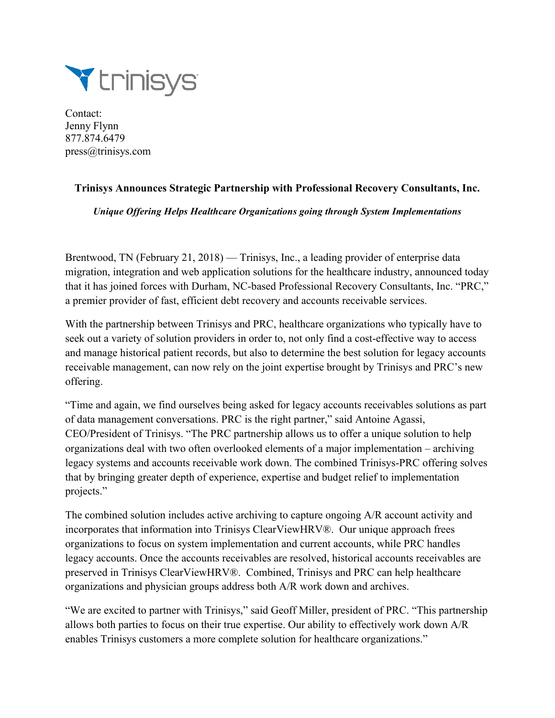

Contact: Jenny Flynn 877.874.6479 press@trinisys.com

## **Trinisys Announces Strategic Partnership with Professional Recovery Consultants, Inc.**

*Unique Offering Helps Healthcare Organizations going through System Implementations*

Brentwood, TN (February 21, 2018) — Trinisys, Inc., a leading provider of enterprise data migration, integration and web application solutions for the healthcare industry, announced today that it has joined forces with Durham, NC-based Professional Recovery Consultants, Inc. "PRC," a premier provider of fast, efficient debt recovery and accounts receivable services.

With the partnership between Trinisys and PRC, healthcare organizations who typically have to seek out a variety of solution providers in order to, not only find a cost-effective way to access and manage historical patient records, but also to determine the best solution for legacy accounts receivable management, can now rely on the joint expertise brought by Trinisys and PRC's new offering.

"Time and again, we find ourselves being asked for legacy accounts receivables solutions as part of data management conversations. PRC is the right partner," said Antoine Agassi, CEO/President of Trinisys. "The PRC partnership allows us to offer a unique solution to help organizations deal with two often overlooked elements of a major implementation – archiving legacy systems and accounts receivable work down. The combined Trinisys-PRC offering solves that by bringing greater depth of experience, expertise and budget relief to implementation projects."

The combined solution includes active archiving to capture ongoing A/R account activity and incorporates that information into Trinisys ClearViewHRV®. Our unique approach frees organizations to focus on system implementation and current accounts, while PRC handles legacy accounts. Once the accounts receivables are resolved, historical accounts receivables are preserved in Trinisys ClearViewHRV®. Combined, Trinisys and PRC can help healthcare organizations and physician groups address both A/R work down and archives.

"We are excited to partner with Trinisys," said Geoff Miller, president of PRC. "This partnership allows both parties to focus on their true expertise. Our ability to effectively work down A/R enables Trinisys customers a more complete solution for healthcare organizations."